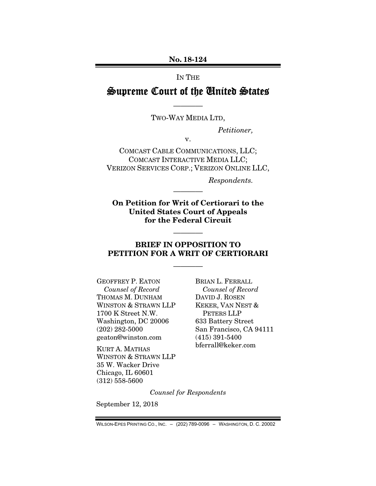No. 18-124

IN THE

# Supreme Court of the United States

———— TWO-WAY MEDIA LTD,

*Petitioner,* 

v.

COMCAST CABLE COMMUNICATIONS, LLC; COMCAST INTERACTIVE MEDIA LLC; VERIZON SERVICES CORP.; VERIZON ONLINE LLC,

*Respondents.* 

On Petition for Writ of Certiorari to the United States Court of Appeals for the Federal Circuit

————

### BRIEF IN OPPOSITION TO PETITION FOR A WRIT OF CERTIORARI

————

————

GEOFFREY P. EATON *Counsel of Record*  THOMAS M. DUNHAM WINSTON & STRAWN LLP 1700 K Street N.W. Washington, DC 20006 (202) 282-5000 geaton@winston.com

KURT A. MATHAS WINSTON & STRAWN LLP 35 W. Wacker Drive Chicago, IL 60601 (312) 558-5600

BRIAN L. FERRALL *Counsel of Record*  DAVID J. ROSEN KEKER, VAN NEST & PETERS LLP 633 Battery Street San Francisco, CA 94111 (415) 391-5400 bferrall@keker.com

*Counsel for Respondents* 

September 12, 2018

WILSON-EPES PRINTING CO., INC. – (202) 789-0096 – WASHINGTON, D. C. 20002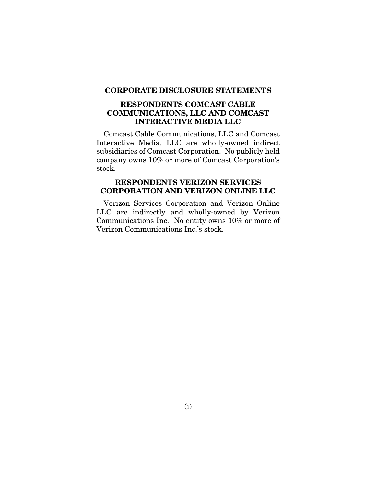#### CORPORATE DISCLOSURE STATEMENTS

### RESPONDENTS COMCAST CABLE COMMUNICATIONS, LLC AND COMCAST INTERACTIVE MEDIA LLC

Comcast Cable Communications, LLC and Comcast Interactive Media, LLC are wholly-owned indirect subsidiaries of Comcast Corporation. No publicly held company owns 10% or more of Comcast Corporation's stock.

## RESPONDENTS VERIZON SERVICES CORPORATION AND VERIZON ONLINE LLC

Verizon Services Corporation and Verizon Online LLC are indirectly and wholly-owned by Verizon Communications Inc. No entity owns 10% or more of Verizon Communications Inc.'s stock.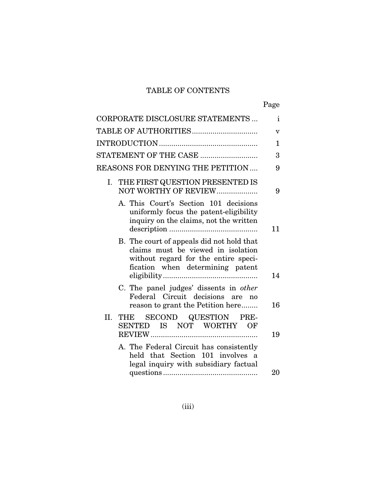## TABLE OF CONTENTS

| ۰, |
|----|
|----|

|     | CORPORATE DISCLOSURE STATEMENTS                                                                                                                             | $\mathbf{i}$            |
|-----|-------------------------------------------------------------------------------------------------------------------------------------------------------------|-------------------------|
|     |                                                                                                                                                             | $\overline{\mathbf{V}}$ |
|     |                                                                                                                                                             | $\mathbf 1$             |
|     | STATEMENT OF THE CASE                                                                                                                                       | 3                       |
|     | <b>REASONS FOR DENYING THE PETITION </b>                                                                                                                    | 9                       |
| I.  | THE FIRST QUESTION PRESENTED IS<br>NOT WORTHY OF REVIEW                                                                                                     | 9                       |
|     | A. This Court's Section 101 decisions<br>uniformly focus the patent-eligibility<br>inquiry on the claims, not the written                                   | 11                      |
|     | B. The court of appeals did not hold that<br>claims must be viewed in isolation<br>without regard for the entire speci-<br>fication when determining patent | 14                      |
|     | C. The panel judges' dissents in <i>other</i><br>Federal Circuit decisions are<br>no<br>reason to grant the Petition here                                   | 16                      |
| II. | SECOND QUESTION<br>THE<br>PRE-<br>SENTED IS NOT WORTHY<br>OF                                                                                                | 19                      |
|     | A. The Federal Circuit has consistently<br>held that Section 101 involves a<br>legal inquiry with subsidiary factual                                        | 20                      |
|     |                                                                                                                                                             |                         |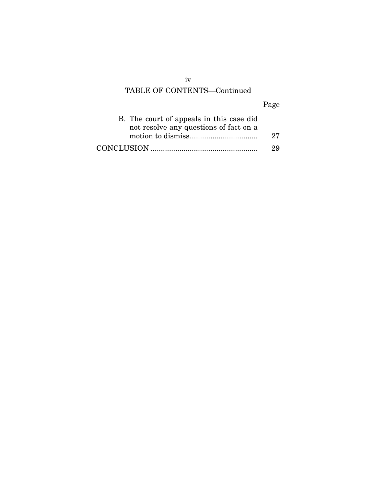# TABLE OF CONTENTS—Continued

## Page

| B. The court of appeals in this case did |    |
|------------------------------------------|----|
| not resolve any questions of fact on a   |    |
|                                          | 27 |
|                                          | 29 |

iv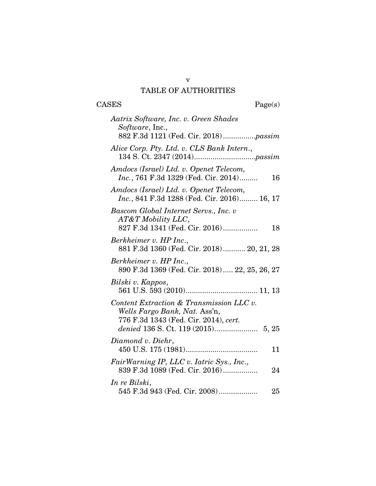## v TABLE OF AUTHORITIES

| <b>CASES</b><br>Page(s)                                                                                            |  |
|--------------------------------------------------------------------------------------------------------------------|--|
| Aatrix Software, Inc. v. Green Shades<br>Software, Inc.,<br>882 F.3d 1121 (Fed. Cir. 2018)passim                   |  |
| Alice Corp. Pty. Ltd. v. CLS Bank Intern.,                                                                         |  |
| Amdocs (Israel) Ltd. v. Openet Telecom,<br>Inc., 761 F.3d 1329 (Fed. Cir. 2014)<br>16                              |  |
| Amdocs (Israel) Ltd. v. Openet Telecom,<br><i>Inc.</i> , 841 F.3d 1288 (Fed. Cir. 2016) 16, 17                     |  |
| Bascom Global Internet Servs., Inc. v<br>$AT&T$ Mobility LLC,<br>827 F.3d 1341 (Fed. Cir. 2016)<br>18              |  |
| Berkheimer v. HP Inc.,<br>881 F.3d 1360 (Fed. Cir. 2018) 20, 21, 28                                                |  |
| Berkheimer v. HP Inc.,<br>890 F.3d 1369 (Fed. Cir. 2018) 22, 25, 26, 27                                            |  |
| Bilski v. Kappos,                                                                                                  |  |
| Content Extraction & Transmission LLC v.<br>Wells Fargo Bank, Nat. Ass'n,<br>776 F.3d 1343 (Fed. Cir. 2014), cert. |  |
| Diamond v. Diehr,<br>11                                                                                            |  |
| FairWarning IP, LLC v. Iatric Sys., Inc.,<br>839 F.3d 1089 (Fed. Cir. 2016)<br>24                                  |  |
| In re Bilski,<br>545 F.3d 943 (Fed. Cir. 2008)<br>25                                                               |  |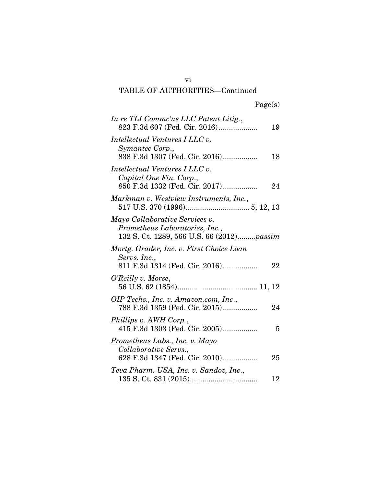# TABLE OF AUTHORITIES—Continued

| In re TLI Comme'ns LLC Patent Litig.,<br>823 F.3d 607 (Fed. Cir. 2016)                                        | 19 |
|---------------------------------------------------------------------------------------------------------------|----|
| Intellectual Ventures I LLC v.<br>Symantec Corp.,<br>838 F.3d 1307 (Fed. Cir. 2016)                           | 18 |
| Intellectual Ventures I LLC v.<br>Capital One Fin. Corp.,<br>850 F.3d 1332 (Fed. Cir. 2017)                   | 24 |
| Markman v. Westview Instruments, Inc.,                                                                        |    |
| Mayo Collaborative Services v.<br>Prometheus Laboratories, Inc.,<br>132 S. Ct. 1289, 566 U.S. 66 (2012)passim |    |
| Mortg. Grader, Inc. v. First Choice Loan<br>Servs. Inc.,<br>811 F.3d 1314 (Fed. Cir. 2016)                    | 22 |
| O'Reilly v. Morse,                                                                                            |    |
| OIP Techs., Inc. v. Amazon.com, Inc.,<br>788 F.3d 1359 (Fed. Cir. 2015)                                       | 24 |
| Phillips v. AWH Corp.,<br>415 F.3d 1303 (Fed. Cir. 2005)                                                      | 5  |
| Prometheus Labs., Inc. v. Mayo<br>Collaborative Servs.,<br>628 F.3d 1347 (Fed. Cir. 2010)                     | 25 |
| Teva Pharm. USA, Inc. v. Sandoz, Inc.,                                                                        | 12 |

vi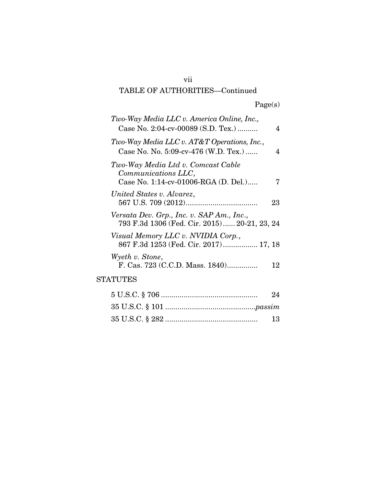## TABLE OF AUTHORITIES—Continued

|  | Page(s) |
|--|---------|
|  |         |

| Two-Way Media LLC v. America Online, Inc.,<br>Case No. 2:04-cv-00089 (S.D. Tex.)                  | 4  |
|---------------------------------------------------------------------------------------------------|----|
| Two-Way Media LLC v. AT&T Operations, Inc.,<br>Case No. No. $5:09$ -cv-476 (W.D. Tex.)            | 4  |
| Two-Way Media Ltd v. Comcast Cable<br>Communications LLC,<br>Case No. 1:14-cv-01006-RGA (D. Del.) |    |
| United States v. Alvarez,                                                                         | 23 |
| Versata Dev. Grp., Inc. v. SAP Am., Inc.,<br>793 F.3d 1306 (Fed. Cir. 2015) 20-21, 23, 24         |    |
| Visual Memory LLC v. NVIDIA Corp.,<br>867 F.3d 1253 (Fed. Cir. 2017) 17, 18                       |    |
| Wyeth v. Stone,<br>F. Cas. 723 (C.C.D. Mass. 1840)                                                | 12 |
| <b>STATUTES</b>                                                                                   |    |
|                                                                                                   | 94 |

| $\overline{ }$ |
|----------------|
|                |
| -13-           |

vii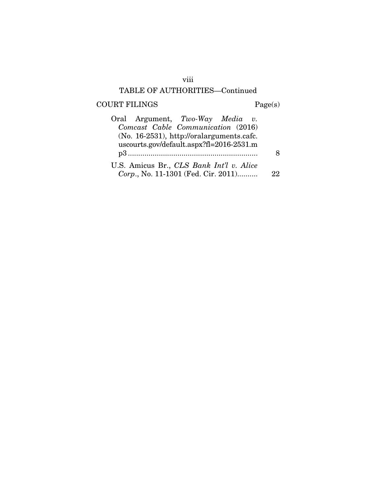## viii

## TABLE OF AUTHORITIES—Continued

# $\begin{aligned} \text{COURT FILINGS} \qquad \qquad & \text{Page(s)}\\ \end{aligned}$

| Oral Argument, Two-Way Media v.              |     |
|----------------------------------------------|-----|
| Comcast Cable Communication (2016)           |     |
| $(No. 16-2531)$ , http://oralarguments.cafc. |     |
| uscourts.gov/default.aspx?fl=2016-2531.m     |     |
|                                              |     |
| U.S. Amicus Br., CLS Bank Int'l v. Alice     |     |
| Corp., No. 11-1301 (Fed. Cir. 2011)          | 99. |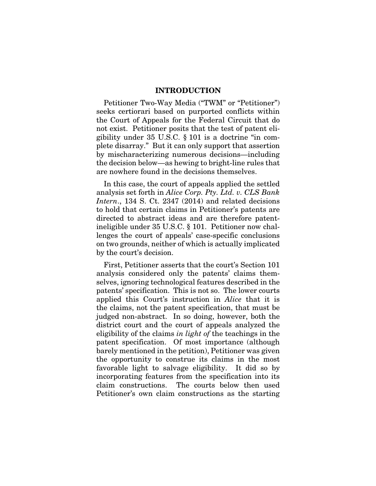#### INTRODUCTION

Petitioner Two-Way Media ("TWM" or "Petitioner") seeks certiorari based on purported conflicts within the Court of Appeals for the Federal Circuit that do not exist. Petitioner posits that the test of patent eligibility under 35 U.S.C. § 101 is a doctrine "in complete disarray." But it can only support that assertion by mischaracterizing numerous decisions—including the decision below—as hewing to bright-line rules that are nowhere found in the decisions themselves.

In this case, the court of appeals applied the settled analysis set forth in *Alice Corp. Pty. Ltd. v. CLS Bank Intern*., 134 S. Ct. 2347 (2014) and related decisions to hold that certain claims in Petitioner's patents are directed to abstract ideas and are therefore patentineligible under 35 U.S.C. § 101. Petitioner now challenges the court of appeals' case-specific conclusions on two grounds, neither of which is actually implicated by the court's decision.

First, Petitioner asserts that the court's Section 101 analysis considered only the patents' claims themselves, ignoring technological features described in the patents' specification. This is not so. The lower courts applied this Court's instruction in *Alice* that it is the claims, not the patent specification, that must be judged non-abstract. In so doing, however, both the district court and the court of appeals analyzed the eligibility of the claims *in light of* the teachings in the patent specification. Of most importance (although barely mentioned in the petition), Petitioner was given the opportunity to construe its claims in the most favorable light to salvage eligibility. It did so by incorporating features from the specification into its claim constructions. The courts below then used Petitioner's own claim constructions as the starting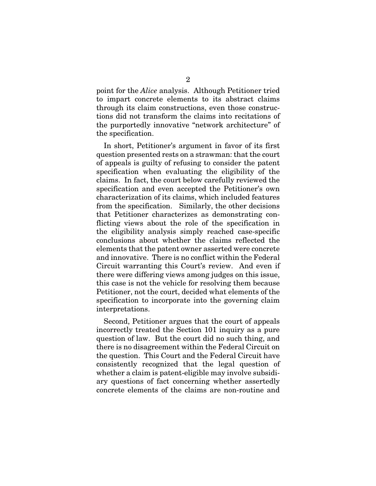point for the *Alice* analysis. Although Petitioner tried to impart concrete elements to its abstract claims through its claim constructions, even those constructions did not transform the claims into recitations of the purportedly innovative "network architecture" of the specification.

In short, Petitioner's argument in favor of its first question presented rests on a strawman: that the court of appeals is guilty of refusing to consider the patent specification when evaluating the eligibility of the claims. In fact, the court below carefully reviewed the specification and even accepted the Petitioner's own characterization of its claims, which included features from the specification. Similarly, the other decisions that Petitioner characterizes as demonstrating conflicting views about the role of the specification in the eligibility analysis simply reached case-specific conclusions about whether the claims reflected the elements that the patent owner asserted were concrete and innovative. There is no conflict within the Federal Circuit warranting this Court's review. And even if there were differing views among judges on this issue, this case is not the vehicle for resolving them because Petitioner, not the court, decided what elements of the specification to incorporate into the governing claim interpretations.

Second, Petitioner argues that the court of appeals incorrectly treated the Section 101 inquiry as a pure question of law. But the court did no such thing, and there is no disagreement within the Federal Circuit on the question. This Court and the Federal Circuit have consistently recognized that the legal question of whether a claim is patent-eligible may involve subsidiary questions of fact concerning whether assertedly concrete elements of the claims are non-routine and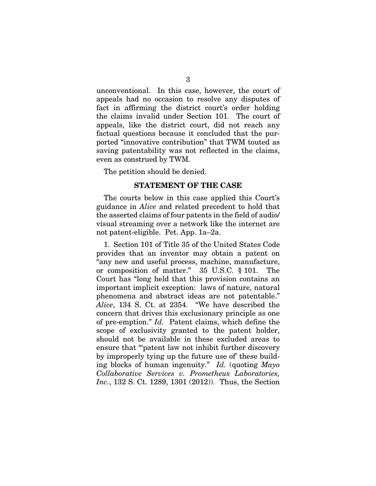unconventional. In this case, however, the court of appeals had no occasion to resolve any disputes of fact in affirming the district court's order holding the claims invalid under Section 101. The court of appeals, like the district court, did not reach any factual questions because it concluded that the purported "innovative contribution" that TWM touted as saving patentability was not reflected in the claims, even as construed by TWM.

The petition should be denied.

#### STATEMENT OF THE CASE

The courts below in this case applied this Court's guidance in *Alice* and related precedent to hold that the asserted claims of four patents in the field of audio/ visual streaming over a network like the internet are not patent-eligible. Pet. App. 1a–2a.

1. Section 101 of Title 35 of the United States Code provides that an inventor may obtain a patent on "any new and useful process, machine, manufacture, or composition of matter." 35 U.S.C. § 101. The Court has "long held that this provision contains an important implicit exception: laws of nature, natural phenomena and abstract ideas are not patentable." *Alice*, 134 S. Ct. at 2354. "We have described the concern that drives this exclusionary principle as one of pre-emption." *Id.* Patent claims, which define the scope of exclusivity granted to the patent holder, should not be available in these excluded areas to ensure that "'patent law not inhibit further discovery by improperly tying up the future use of' these building blocks of human ingenuity." *Id.* (quoting *Mayo Collaborative Services v. Prometheus Laboratories, Inc.*, 132 S. Ct. 1289, 1301 (2012)). Thus, the Section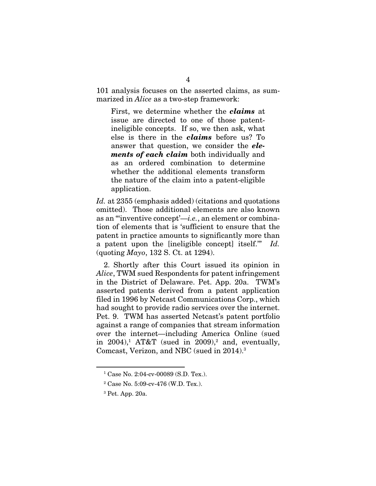101 analysis focuses on the asserted claims, as summarized in *Alice* as a two-step framework:

First, we determine whether the *claims* at issue are directed to one of those patentineligible concepts. If so, we then ask, what else is there in the *claims* before us? To answer that question, we consider the *elements of each claim* both individually and as an ordered combination to determine whether the additional elements transform the nature of the claim into a patent-eligible application.

*Id.* at 2355 (emphasis added) (citations and quotations omitted). Those additional elements are also known as an "'inventive concept'—*i.e.*, an element or combination of elements that is 'sufficient to ensure that the patent in practice amounts to significantly more than a patent upon the [ineligible concept] itself.'" *Id.* (quoting *Mayo*, 132 S. Ct. at 1294).

2. Shortly after this Court issued its opinion in *Alice*, TWM sued Respondents for patent infringement in the District of Delaware. Pet. App. 20a. TWM's asserted patents derived from a patent application filed in 1996 by Netcast Communications Corp., which had sought to provide radio services over the internet. Pet. 9. TWM has asserted Netcast's patent portfolio against a range of companies that stream information over the internet—including America Online (sued in 2004),<sup>1</sup> AT&T (sued in 2009),<sup>2</sup> and, eventually, Comcast, Verizon, and NBC (sued in 2014).3

<sup>1</sup> Case No. 2:04-cv-00089 (S.D. Tex.).

<sup>2</sup> Case No. 5:09-cv-476 (W.D. Tex.).

<sup>3</sup> Pet. App. 20a.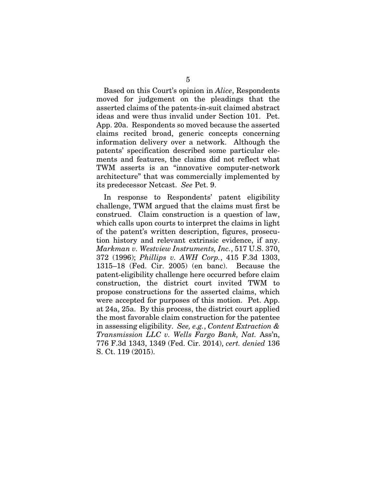Based on this Court's opinion in *Alice*, Respondents moved for judgement on the pleadings that the asserted claims of the patents-in-suit claimed abstract ideas and were thus invalid under Section 101. Pet. App. 20a. Respondents so moved because the asserted claims recited broad, generic concepts concerning information delivery over a network. Although the patents' specification described some particular elements and features, the claims did not reflect what TWM asserts is an "innovative computer-network architecture" that was commercially implemented by its predecessor Netcast. *See* Pet. 9.

In response to Respondents' patent eligibility challenge, TWM argued that the claims must first be construed. Claim construction is a question of law, which calls upon courts to interpret the claims in light of the patent's written description, figures, prosecution history and relevant extrinsic evidence, if any. *Markman v. Westview Instruments, Inc.*, 517 U.S. 370, 372 (1996); *Phillips v. AWH Corp.*, 415 F.3d 1303, 1315–18 (Fed. Cir. 2005) (en banc). Because the patent-eligibility challenge here occurred before claim construction, the district court invited TWM to propose constructions for the asserted claims, which were accepted for purposes of this motion. Pet. App. at 24a, 25a. By this process, the district court applied the most favorable claim construction for the patentee in assessing eligibility. *See, e.g.*, *Content Extraction & Transmission LLC v. Wells Fargo Bank, Nat.* Ass'n, 776 F.3d 1343, 1349 (Fed. Cir. 2014), *cert. denied* 136 S. Ct. 119 (2015).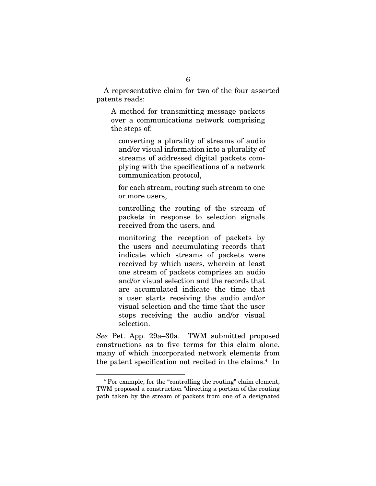A representative claim for two of the four asserted patents reads:

A method for transmitting message packets over a communications network comprising the steps of:

converting a plurality of streams of audio and/or visual information into a plurality of streams of addressed digital packets complying with the specifications of a network communication protocol,

for each stream, routing such stream to one or more users,

controlling the routing of the stream of packets in response to selection signals received from the users, and

monitoring the reception of packets by the users and accumulating records that indicate which streams of packets were received by which users, wherein at least one stream of packets comprises an audio and/or visual selection and the records that are accumulated indicate the time that a user starts receiving the audio and/or visual selection and the time that the user stops receiving the audio and/or visual selection.

*See* Pet. App. 29a–30a. TWM submitted proposed constructions as to five terms for this claim alone, many of which incorporated network elements from the patent specification not recited in the claims.<sup>4</sup> In

<sup>4</sup> For example, for the "controlling the routing" claim element, TWM proposed a construction "directing a portion of the routing path taken by the stream of packets from one of a designated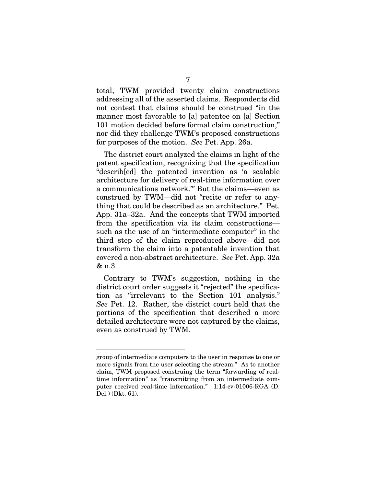total, TWM provided twenty claim constructions addressing all of the asserted claims. Respondents did not contest that claims should be construed "in the manner most favorable to [a] patentee on [a] Section 101 motion decided before formal claim construction," nor did they challenge TWM's proposed constructions for purposes of the motion. *See* Pet. App. 26a.

The district court analyzed the claims in light of the patent specification, recognizing that the specification "describ[ed] the patented invention as 'a scalable architecture for delivery of real-time information over a communications network.'" But the claims—even as construed by TWM—did not "recite or refer to anything that could be described as an architecture." Pet. App. 31a–32a. And the concepts that TWM imported from the specification via its claim constructions such as the use of an "intermediate computer" in the third step of the claim reproduced above—did not transform the claim into a patentable invention that covered a non-abstract architecture. *See* Pet. App. 32a & n.3.

Contrary to TWM's suggestion, nothing in the district court order suggests it "rejected" the specification as "irrelevant to the Section 101 analysis." *See* Pet. 12. Rather, the district court held that the portions of the specification that described a more detailed architecture were not captured by the claims, even as construed by TWM.

group of intermediate computers to the user in response to one or more signals from the user selecting the stream." As to another claim, TWM proposed construing the term "forwarding of realtime information" as "transmitting from an intermediate computer received real-time information." 1:14-cv-01006-RGA (D. Del.) (Dkt. 61).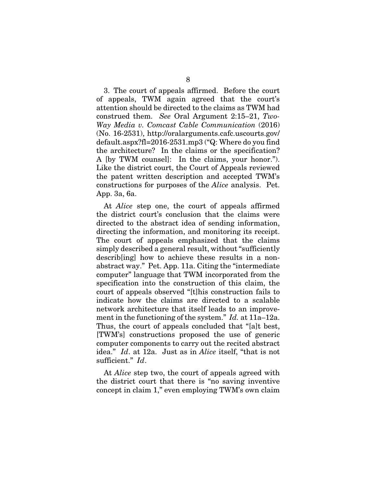3. The court of appeals affirmed. Before the court of appeals, TWM again agreed that the court's attention should be directed to the claims as TWM had construed them. *See* Oral Argument 2:15–21, *Two-Way Media v. Comcast Cable Communication* (2016) (No. 16-2531), http://oralarguments.cafc.uscourts.gov/ default.aspx?fl=2016-2531.mp3 ("Q: Where do you find the architecture? In the claims or the specification? A [by TWM counsel]: In the claims, your honor."). Like the district court, the Court of Appeals reviewed the patent written description and accepted TWM's constructions for purposes of the *Alice* analysis. Pet. App. 3a, 6a.

At *Alice* step one, the court of appeals affirmed the district court's conclusion that the claims were directed to the abstract idea of sending information, directing the information, and monitoring its receipt. The court of appeals emphasized that the claims simply described a general result, without "sufficiently describ[ing] how to achieve these results in a nonabstract way." Pet. App. 11a. Citing the "intermediate computer" language that TWM incorporated from the specification into the construction of this claim, the court of appeals observed "[t]his construction fails to indicate how the claims are directed to a scalable network architecture that itself leads to an improvement in the functioning of the system." *Id.* at 11a–12a. Thus, the court of appeals concluded that "[a]t best, [TWM's] constructions proposed the use of generic computer components to carry out the recited abstract idea." *Id*. at 12a. Just as in *Alice* itself, "that is not sufficient." *Id*.

At *Alice* step two, the court of appeals agreed with the district court that there is "no saving inventive concept in claim 1," even employing TWM's own claim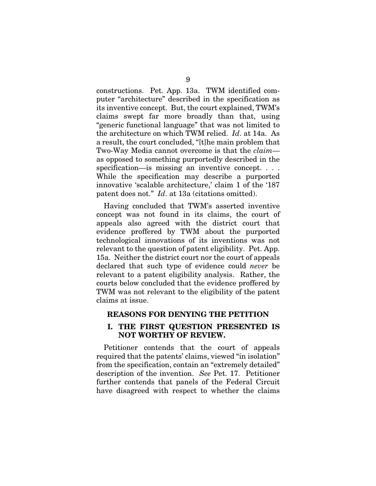constructions. Pet. App. 13a. TWM identified computer "architecture" described in the specification as its inventive concept. But, the court explained, TWM's claims swept far more broadly than that, using "generic functional language" that was not limited to the architecture on which TWM relied. *Id*. at 14a. As a result, the court concluded, "[t]he main problem that Two-Way Media cannot overcome is that the *claim* as opposed to something purportedly described in the specification—is missing an inventive concept. . . . While the specification may describe a purported innovative 'scalable architecture,' claim 1 of the '187 patent does not." *Id*. at 13a (citations omitted).

Having concluded that TWM's asserted inventive concept was not found in its claims, the court of appeals also agreed with the district court that evidence proffered by TWM about the purported technological innovations of its inventions was not relevant to the question of patent eligibility. Pet. App. 15a. Neither the district court nor the court of appeals declared that such type of evidence could *never* be relevant to a patent eligibility analysis. Rather, the courts below concluded that the evidence proffered by TWM was not relevant to the eligibility of the patent claims at issue.

#### REASONS FOR DENYING THE PETITION

### I. THE FIRST QUESTION PRESENTED IS NOT WORTHY OF REVIEW.

Petitioner contends that the court of appeals required that the patents' claims, viewed "in isolation" from the specification, contain an "extremely detailed" description of the invention. *See* Pet. 17. Petitioner further contends that panels of the Federal Circuit have disagreed with respect to whether the claims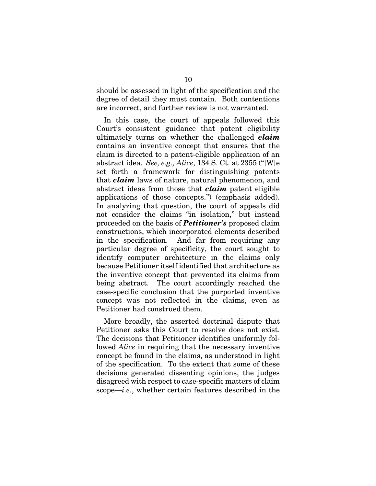should be assessed in light of the specification and the degree of detail they must contain. Both contentions are incorrect, and further review is not warranted.

In this case, the court of appeals followed this Court's consistent guidance that patent eligibility ultimately turns on whether the challenged *claim* contains an inventive concept that ensures that the claim is directed to a patent-eligible application of an abstract idea. *See, e.g., Alice*, 134 S. Ct. at 2355 ("[W]e set forth a framework for distinguishing patents that *claim* laws of nature, natural phenomenon, and abstract ideas from those that *claim* patent eligible applications of those concepts.") (emphasis added). In analyzing that question, the court of appeals did not consider the claims "in isolation," but instead proceeded on the basis of *Petitioner's* proposed claim constructions, which incorporated elements described in the specification. And far from requiring any particular degree of specificity, the court sought to identify computer architecture in the claims only because Petitioner itself identified that architecture as the inventive concept that prevented its claims from being abstract. The court accordingly reached the case-specific conclusion that the purported inventive concept was not reflected in the claims, even as Petitioner had construed them.

More broadly, the asserted doctrinal dispute that Petitioner asks this Court to resolve does not exist. The decisions that Petitioner identifies uniformly followed *Alice* in requiring that the necessary inventive concept be found in the claims, as understood in light of the specification. To the extent that some of these decisions generated dissenting opinions, the judges disagreed with respect to case-specific matters of claim scope—*i.e.*, whether certain features described in the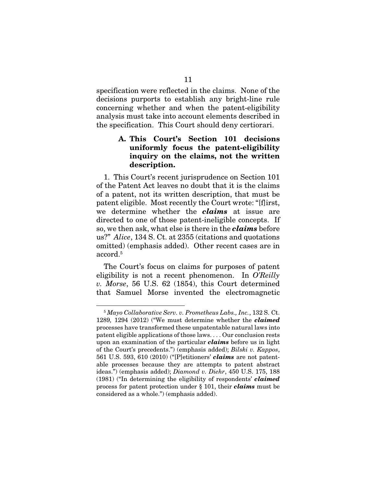specification were reflected in the claims. None of the decisions purports to establish any bright-line rule concerning whether and when the patent-eligibility analysis must take into account elements described in the specification. This Court should deny certiorari.

### A. This Court's Section 101 decisions uniformly focus the patent-eligibility inquiry on the claims, not the written description.

1. This Court's recent jurisprudence on Section 101 of the Patent Act leaves no doubt that it is the claims of a patent, not its written description, that must be patent eligible. Most recently the Court wrote: "[f]irst, we determine whether the *claims* at issue are directed to one of those patent-ineligible concepts. If so, we then ask, what else is there in the *claims* before us?" *Alice*, 134 S. Ct. at 2355 (citations and quotations omitted) (emphasis added). Other recent cases are in  $\rm{accord.5}$ 

The Court's focus on claims for purposes of patent eligibility is not a recent phenomenon. In *O'Reilly v. Morse*, 56 U.S. 62 (1854), this Court determined that Samuel Morse invented the electromagnetic

<sup>5</sup> *Mayo Collaborative Serv. v. Prometheus Labs., Inc.*, 132 S. Ct. 1289*,* 1294 (2012) ("We must determine whether the *claimed* processes have transformed these unpatentable natural laws into patent eligible applications of those laws. . . . Our conclusion rests upon an examination of the particular *claims* before us in light of the Court's precedents.") (emphasis added); *Bilski v. Kappos*, 561 U.S. 593, 610 (2010) ("[P]etitioners' *claims* are not patentable processes because they are attempts to patent abstract ideas.") (emphasis added); *Diamond v. Diehr*, 450 U.S. 175, 188 (1981) ("In determining the eligibility of respondents' *claimed* process for patent protection under § 101, their *claims* must be considered as a whole.") (emphasis added).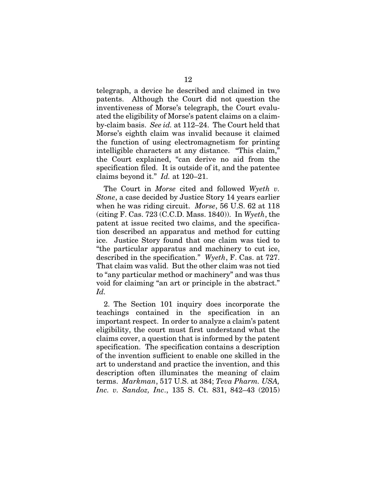telegraph, a device he described and claimed in two patents. Although the Court did not question the inventiveness of Morse's telegraph, the Court evaluated the eligibility of Morse's patent claims on a claimby-claim basis. *See id.* at 112–24. The Court held that Morse's eighth claim was invalid because it claimed the function of using electromagnetism for printing intelligible characters at any distance. "This claim," the Court explained, "can derive no aid from the specification filed. It is outside of it, and the patentee claims beyond it." *Id.* at 120–21.

The Court in *Morse* cited and followed *Wyeth v. Stone*, a case decided by Justice Story 14 years earlier when he was riding circuit. *Morse*, 56 U.S. 62 at 118 (citing F. Cas. 723 (C.C.D. Mass. 1840)). In *Wyeth*, the patent at issue recited two claims, and the specification described an apparatus and method for cutting ice. Justice Story found that one claim was tied to "the particular apparatus and machinery to cut ice, described in the specification." *Wyeth*, F. Cas. at 727. That claim was valid. But the other claim was not tied to "any particular method or machinery" and was thus void for claiming "an art or principle in the abstract." *Id.*

2. The Section 101 inquiry does incorporate the teachings contained in the specification in an important respect. In order to analyze a claim's patent eligibility, the court must first understand what the claims cover, a question that is informed by the patent specification. The specification contains a description of the invention sufficient to enable one skilled in the art to understand and practice the invention, and this description often illuminates the meaning of claim terms. *Markman*, 517 U.S. at 384; *Teva Pharm. USA, Inc. v. Sandoz, Inc*., 135 S. Ct. 831, 842–43 (2015)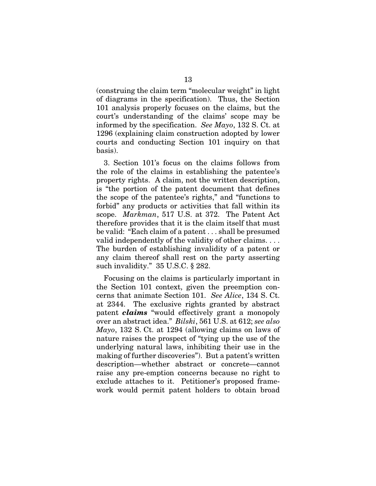(construing the claim term "molecular weight" in light of diagrams in the specification). Thus, the Section 101 analysis properly focuses on the claims, but the court's understanding of the claims' scope may be informed by the specification. *See Mayo*, 132 S. Ct. at 1296 (explaining claim construction adopted by lower courts and conducting Section 101 inquiry on that basis).

3. Section 101's focus on the claims follows from the role of the claims in establishing the patentee's property rights. A claim, not the written description, is "the portion of the patent document that defines the scope of the patentee's rights," and "functions to forbid" any products or activities that fall within its scope. *Markman*, 517 U.S. at 372. The Patent Act therefore provides that it is the claim itself that must be valid: "Each claim of a patent . . . shall be presumed valid independently of the validity of other claims. . . . The burden of establishing invalidity of a patent or any claim thereof shall rest on the party asserting such invalidity." 35 U.S.C. § 282.

Focusing on the claims is particularly important in the Section 101 context, given the preemption concerns that animate Section 101. *See Alice*, 134 S. Ct. at 2344. The exclusive rights granted by abstract patent *claims* "would effectively grant a monopoly over an abstract idea." *Bilski*, 561 U.S. at 612; *see also Mayo*, 132 S. Ct. at 1294 (allowing claims on laws of nature raises the prospect of "tying up the use of the underlying natural laws, inhibiting their use in the making of further discoveries"). But a patent's written description—whether abstract or concrete—cannot raise any pre-emption concerns because no right to exclude attaches to it. Petitioner's proposed framework would permit patent holders to obtain broad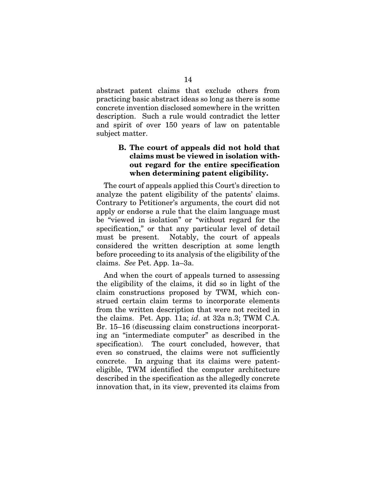abstract patent claims that exclude others from practicing basic abstract ideas so long as there is some concrete invention disclosed somewhere in the written description. Such a rule would contradict the letter and spirit of over 150 years of law on patentable subject matter.

## B. The court of appeals did not hold that claims must be viewed in isolation without regard for the entire specification when determining patent eligibility.

The court of appeals applied this Court's direction to analyze the patent eligibility of the patents' claims. Contrary to Petitioner's arguments, the court did not apply or endorse a rule that the claim language must be "viewed in isolation" or "without regard for the specification," or that any particular level of detail must be present. Notably, the court of appeals considered the written description at some length before proceeding to its analysis of the eligibility of the claims. *See* Pet. App. 1a–3a.

And when the court of appeals turned to assessing the eligibility of the claims, it did so in light of the claim constructions proposed by TWM, which construed certain claim terms to incorporate elements from the written description that were not recited in the claims. Pet. App. 11a; *id*. at 32a n.3; TWM C.A. Br. 15–16 (discussing claim constructions incorporating an "intermediate computer" as described in the specification). The court concluded, however, that even so construed, the claims were not sufficiently concrete. In arguing that its claims were patenteligible, TWM identified the computer architecture described in the specification as the allegedly concrete innovation that, in its view, prevented its claims from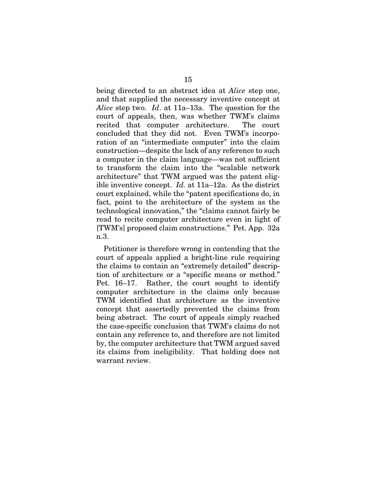being directed to an abstract idea at *Alice* step one, and that supplied the necessary inventive concept at *Alice* step two. *Id*. at 11a–13a. The question for the court of appeals, then, was whether TWM's claims recited that computer architecture. The court concluded that they did not. Even TWM's incorporation of an "intermediate computer" into the claim construction—despite the lack of any reference to such a computer in the claim language—was not sufficient to transform the claim into the "scalable network architecture" that TWM argued was the patent eligible inventive concept. *Id.* at 11a–12a. As the district court explained, while the "patent specifications do, in fact, point to the architecture of the system as the technological innovation," the "claims cannot fairly be read to recite computer architecture even in light of [TWM's] proposed claim constructions." Pet. App. 32a n.3.

Petitioner is therefore wrong in contending that the court of appeals applied a bright-line rule requiring the claims to contain an "extremely detailed" description of architecture or a "specific means or method." Pet. 16–17. Rather, the court sought to identify computer architecture in the claims only because TWM identified that architecture as the inventive concept that assertedly prevented the claims from being abstract. The court of appeals simply reached the case-specific conclusion that TWM's claims do not contain any reference to, and therefore are not limited by, the computer architecture that TWM argued saved its claims from ineligibility. That holding does not warrant review.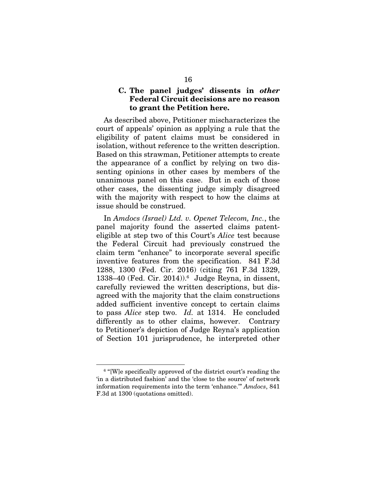### C. The panel judges' dissents in *other*  Federal Circuit decisions are no reason to grant the Petition here.

As described above, Petitioner mischaracterizes the court of appeals' opinion as applying a rule that the eligibility of patent claims must be considered in isolation, without reference to the written description. Based on this strawman, Petitioner attempts to create the appearance of a conflict by relying on two dissenting opinions in other cases by members of the unanimous panel on this case. But in each of those other cases, the dissenting judge simply disagreed with the majority with respect to how the claims at issue should be construed.

In *Amdocs (Israel) Ltd. v. Openet Telecom, Inc.*, the panel majority found the asserted claims patenteligible at step two of this Court's *Alice* test because the Federal Circuit had previously construed the claim term "enhance" to incorporate several specific inventive features from the specification. 841 F.3d 1288, 1300 (Fed. Cir. 2016) (citing 761 F.3d 1329, 1338–40 (Fed. Cir. 2014)).6 Judge Reyna, in dissent, carefully reviewed the written descriptions, but disagreed with the majority that the claim constructions added sufficient inventive concept to certain claims to pass *Alice* step two. *Id.* at 1314. He concluded differently as to other claims, however. Contrary to Petitioner's depiction of Judge Reyna's application of Section 101 jurisprudence, he interpreted other

<sup>&</sup>lt;sup>6</sup> "[W]e specifically approved of the district court's reading the 'in a distributed fashion' and the 'close to the source' of network information requirements into the term 'enhance.'" *Amdocs*, 841 F.3d at 1300 (quotations omitted).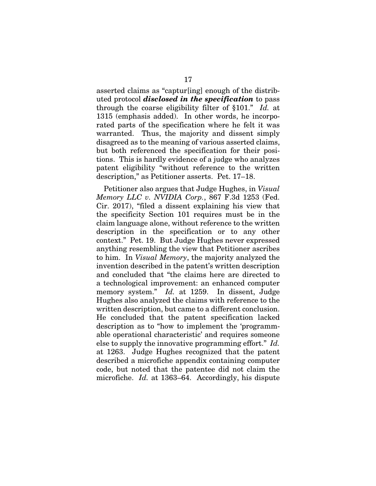asserted claims as "captur[ing] enough of the distributed protocol *disclosed in the specification* to pass through the coarse eligibility filter of §101." *Id.* at 1315 (emphasis added). In other words, he incorporated parts of the specification where he felt it was warranted. Thus, the majority and dissent simply disagreed as to the meaning of various asserted claims, but both referenced the specification for their positions. This is hardly evidence of a judge who analyzes patent eligibility "without reference to the written description," as Petitioner asserts. Pet. 17–18.

Petitioner also argues that Judge Hughes, in *Visual Memory LLC v. NVIDIA Corp.*, 867 F.3d 1253 (Fed. Cir. 2017), "filed a dissent explaining his view that the specificity Section 101 requires must be in the claim language alone, without reference to the written description in the specification or to any other context." Pet. 19. But Judge Hughes never expressed anything resembling the view that Petitioner ascribes to him. In *Visual Memory*, the majority analyzed the invention described in the patent's written description and concluded that "the claims here are directed to a technological improvement: an enhanced computer memory system." *Id.* at 1259. In dissent, Judge Hughes also analyzed the claims with reference to the written description, but came to a different conclusion. He concluded that the patent specification lacked description as to "how to implement the 'programmable operational characteristic' and requires someone else to supply the innovative programming effort." *Id.*  at 1263. Judge Hughes recognized that the patent described a microfiche appendix containing computer code, but noted that the patentee did not claim the microfiche. *Id.* at 1363–64. Accordingly, his dispute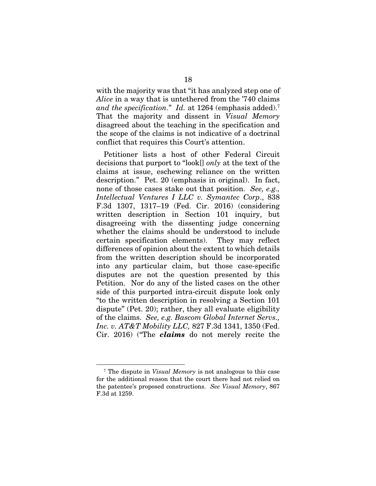with the majority was that "it has analyzed step one of *Alice* in a way that is untethered from the '740 claims *and the specification*." *Id.* at 1264 (emphasis added).7 That the majority and dissent in *Visual Memory* disagreed about the teaching in the specification and the scope of the claims is not indicative of a doctrinal conflict that requires this Court's attention.

Petitioner lists a host of other Federal Circuit decisions that purport to "look[] *only* at the text of the claims at issue, eschewing reliance on the written description." Pet. 20 (emphasis in original). In fact, none of those cases stake out that position. *See, e.g., Intellectual Ventures I LLC v. Symantec Corp*., 838 F.3d 1307, 1317–19 (Fed. Cir. 2016) (considering written description in Section 101 inquiry, but disagreeing with the dissenting judge concerning whether the claims should be understood to include certain specification elements). They may reflect differences of opinion about the extent to which details from the written description should be incorporated into any particular claim, but those case-specific disputes are not the question presented by this Petition. Nor do any of the listed cases on the other side of this purported intra-circuit dispute look only "to the written description in resolving a Section 101 dispute" (Pet. 20); rather, they all evaluate eligibility of the claims. *See, e.g. Bascom Global Internet Servs., Inc. v. AT&T Mobility LLC,* 827 F.3d 1341, 1350 (Fed. Cir. 2016) ("The *claims* do not merely recite the

<sup>7</sup> The dispute in *Visual Memory* is not analogous to this case for the additional reason that the court there had not relied on the patentee's proposed constructions. *See Visual Memory*, 867 F.3d at 1259.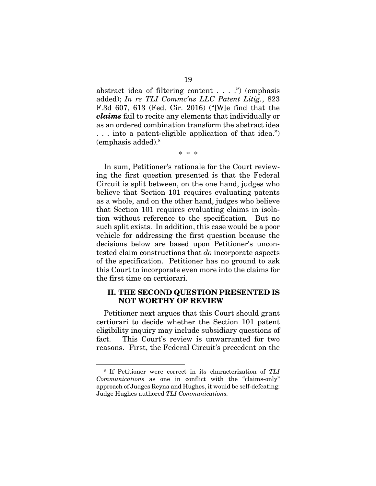abstract idea of filtering content . . . .") (emphasis added); *In re TLI Commc'ns LLC Patent Litig.*, 823 F.3d 607, 613 (Fed. Cir. 2016) ("[W]e find that the *claims* fail to recite any elements that individually or as an ordered combination transform the abstract idea . . . into a patent-eligible application of that idea.") (emphasis added).8

\* \* \*

In sum, Petitioner's rationale for the Court reviewing the first question presented is that the Federal Circuit is split between, on the one hand, judges who believe that Section 101 requires evaluating patents as a whole, and on the other hand, judges who believe that Section 101 requires evaluating claims in isolation without reference to the specification. But no such split exists. In addition, this case would be a poor vehicle for addressing the first question because the decisions below are based upon Petitioner's uncontested claim constructions that *do* incorporate aspects of the specification. Petitioner has no ground to ask this Court to incorporate even more into the claims for the first time on certiorari.

#### II. THE SECOND QUESTION PRESENTED IS NOT WORTHY OF REVIEW

Petitioner next argues that this Court should grant certiorari to decide whether the Section 101 patent eligibility inquiry may include subsidiary questions of fact. This Court's review is unwarranted for two reasons. First, the Federal Circuit's precedent on the

<sup>8</sup> If Petitioner were correct in its characterization of *TLI Communications* as one in conflict with the "claims-only" approach of Judges Reyna and Hughes, it would be self-defeating: Judge Hughes authored *TLI Communications.*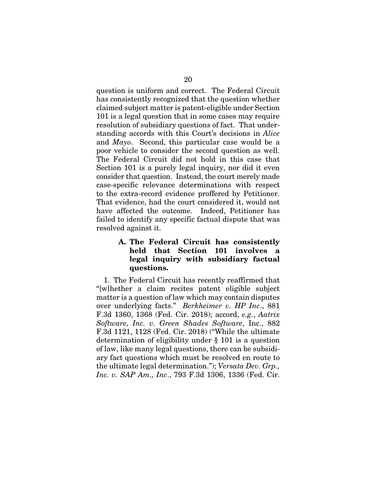question is uniform and correct. The Federal Circuit has consistently recognized that the question whether claimed subject matter is patent-eligible under Section 101 is a legal question that in some cases may require resolution of subsidiary questions of fact. That understanding accords with this Court's decisions in *Alice* and *Mayo*. Second, this particular case would be a poor vehicle to consider the second question as well. The Federal Circuit did not hold in this case that Section 101 is a purely legal inquiry, nor did it even consider that question. Instead, the court merely made case-specific relevance determinations with respect to the extra-record evidence proffered by Petitioner. That evidence, had the court considered it, would not have affected the outcome. Indeed, Petitioner has failed to identify any specific factual dispute that was resolved against it.

## A. The Federal Circuit has consistently held that Section 101 involves a legal inquiry with subsidiary factual questions.

1. The Federal Circuit has recently reaffirmed that "[w]hether a claim recites patent eligible subject matter is a question of law which may contain disputes over underlying facts." *Berkheimer v. HP Inc*., 881 F.3d 1360, 1368 (Fed. Cir. 2018); accord, *e.g.*, *Aatrix Software, Inc. v. Green Shades Software*, Inc., 882 F.3d 1121, 1128 (Fed. Cir. 2018) ("While the ultimate determination of eligibility under § 101 is a question of law, like many legal questions, there can be subsidiary fact questions which must be resolved en route to the ultimate legal determination."); *Versata Dev. Grp., Inc. v. SAP Am., Inc*., 793 F.3d 1306, 1336 (Fed. Cir.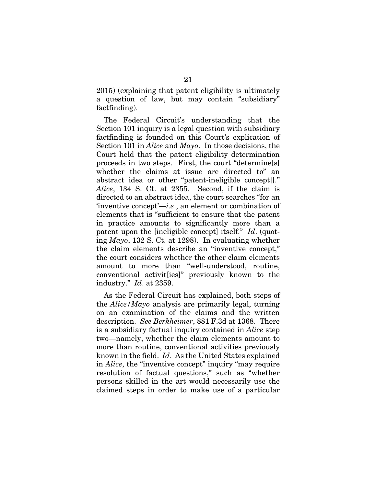2015) (explaining that patent eligibility is ultimately a question of law, but may contain "subsidiary" factfinding).

The Federal Circuit's understanding that the Section 101 inquiry is a legal question with subsidiary factfinding is founded on this Court's explication of Section 101 in *Alice* and *Mayo*. In those decisions, the Court held that the patent eligibility determination proceeds in two steps. First, the court "determine[s] whether the claims at issue are directed to" an abstract idea or other "patent-ineligible concept[]." *Alice*, 134 S. Ct. at 2355. Second, if the claim is directed to an abstract idea, the court searches "for an 'inventive concept'—*i.e*., an element or combination of elements that is "sufficient to ensure that the patent in practice amounts to significantly more than a patent upon the [ineligible concept] itself." *Id*. (quoting *Mayo*, 132 S. Ct. at 1298). In evaluating whether the claim elements describe an "inventive concept," the court considers whether the other claim elements amount to more than "well-understood, routine, conventional activit[ies]" previously known to the industry." *Id*. at 2359.

As the Federal Circuit has explained, both steps of the *Alice/Mayo* analysis are primarily legal, turning on an examination of the claims and the written description. *See Berkheimer*, 881 F.3d at 1368. There is a subsidiary factual inquiry contained in *Alice* step two—namely, whether the claim elements amount to more than routine, conventional activities previously known in the field. *Id*. As the United States explained in *Alice*, the "inventive concept" inquiry "may require resolution of factual questions," such as "whether persons skilled in the art would necessarily use the claimed steps in order to make use of a particular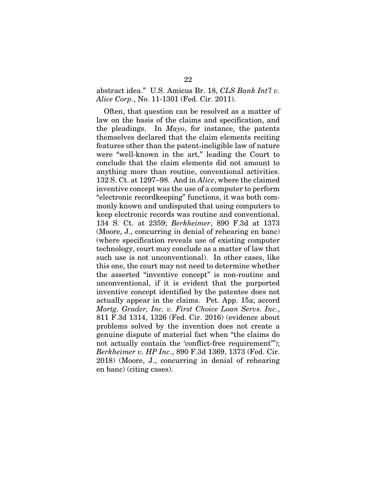### abstract idea." U.S. Amicus Br. 18, *CLS Bank Int'l v. Alice Corp*., No. 11-1301 (Fed. Cir. 2011).

Often, that question can be resolved as a matter of law on the basis of the claims and specification, and the pleadings. In *Mayo*, for instance, the patents themselves declared that the claim elements reciting features other than the patent-ineligible law of nature were "well-known in the art," leading the Court to conclude that the claim elements did not amount to anything more than routine, conventional activities. 132 S. Ct. at 1297–98. And in *Alice*, where the claimed inventive concept was the use of a computer to perform "electronic recordkeeping" functions, it was both commonly known and undisputed that using computers to keep electronic records was routine and conventional. 134 S. Ct. at 2359; *Berkheimer*, 890 F.3d at 1373 (Moore, J., concurring in denial of rehearing en banc) (where specification reveals use of existing computer technology, court may conclude as a matter of law that such use is not unconventional). In other cases, like this one, the court may not need to determine whether the asserted "inventive concept" is non-routine and unconventional, if it is evident that the purported inventive concept identified by the patentee does not actually appear in the claims. Pet. App. 15a; accord *Mortg. Grader, Inc. v. First Choice Loan Servs. Inc*., 811 F.3d 1314, 1326 (Fed. Cir. 2016) (evidence about problems solved by the invention does not create a genuine dispute of material fact when "the claims do not actually contain the 'conflict-free requirement'"); *Berkheimer v. HP Inc*., 890 F.3d 1369, 1373 (Fed. Cir. 2018) (Moore, J., concurring in denial of rehearing en banc) (citing cases).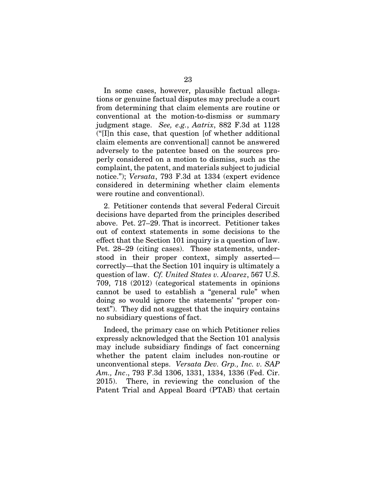In some cases, however, plausible factual allegations or genuine factual disputes may preclude a court from determining that claim elements are routine or conventional at the motion-to-dismiss or summary judgment stage. *See, e.g.*, *Aatrix*, 882 F.3d at 1128 ("[I]n this case, that question [of whether additional claim elements are conventional] cannot be answered adversely to the patentee based on the sources properly considered on a motion to dismiss, such as the complaint, the patent, and materials subject to judicial notice."); *Versata*, 793 F.3d at 1334 (expert evidence considered in determining whether claim elements were routine and conventional).

2. Petitioner contends that several Federal Circuit decisions have departed from the principles described above. Pet. 27–29. That is incorrect. Petitioner takes out of context statements in some decisions to the effect that the Section 101 inquiry is a question of law. Pet. 28–29 (citing cases). Those statements, understood in their proper context, simply asserted correctly—that the Section 101 inquiry is ultimately a question of law. *Cf. United States v. Alvarez*, 567 U.S. 709, 718 (2012) (categorical statements in opinions cannot be used to establish a "general rule" when doing so would ignore the statements' "proper context"). They did not suggest that the inquiry contains no subsidiary questions of fact.

Indeed, the primary case on which Petitioner relies expressly acknowledged that the Section 101 analysis may include subsidiary findings of fact concerning whether the patent claim includes non-routine or unconventional steps. *Versata Dev. Grp., Inc. v. SAP Am., Inc*., 793 F.3d 1306, 1331, 1334, 1336 (Fed. Cir. 2015). There, in reviewing the conclusion of the Patent Trial and Appeal Board (PTAB) that certain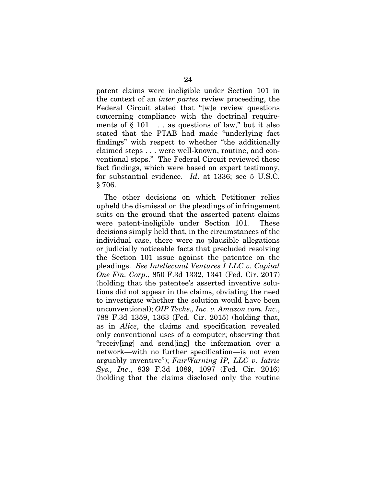patent claims were ineligible under Section 101 in the context of an *inter partes* review proceeding, the Federal Circuit stated that "[w]e review questions concerning compliance with the doctrinal requirements of  $\S$  101... as questions of law," but it also stated that the PTAB had made "underlying fact findings" with respect to whether "the additionally claimed steps . . . were well-known, routine, and conventional steps." The Federal Circuit reviewed those fact findings, which were based on expert testimony, for substantial evidence. *Id*. at 1336; see 5 U.S.C. § 706.

The other decisions on which Petitioner relies upheld the dismissal on the pleadings of infringement suits on the ground that the asserted patent claims were patent-ineligible under Section 101. These decisions simply held that, in the circumstances of the individual case, there were no plausible allegations or judicially noticeable facts that precluded resolving the Section 101 issue against the patentee on the pleadings. *See Intellectual Ventures I LLC v. Capital One Fin. Corp*., 850 F.3d 1332, 1341 (Fed. Cir. 2017) (holding that the patentee's asserted inventive solutions did not appear in the claims, obviating the need to investigate whether the solution would have been unconventional); *OIP Techs., Inc. v. Amazon.com, Inc*., 788 F.3d 1359, 1363 (Fed. Cir. 2015) (holding that, as in *Alice*, the claims and specification revealed only conventional uses of a computer; observing that "receiv[ing] and send[ing] the information over a network—with no further specification—is not even arguably inventive"); *FairWarning IP, LLC v. Iatric Sys., Inc*., 839 F.3d 1089, 1097 (Fed. Cir. 2016) (holding that the claims disclosed only the routine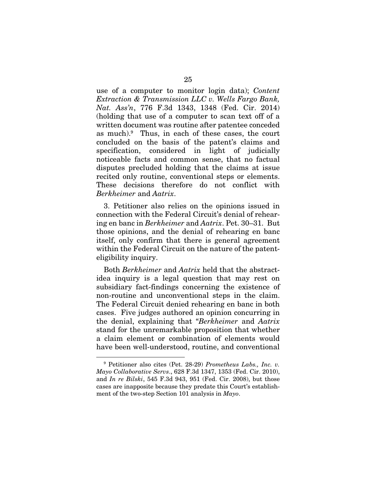use of a computer to monitor login data); *Content Extraction & Transmission LLC v. Wells Fargo Bank, Nat. Ass'n*, 776 F.3d 1343, 1348 (Fed. Cir. 2014) (holding that use of a computer to scan text off of a written document was routine after patentee conceded as much).9 Thus, in each of these cases, the court concluded on the basis of the patent's claims and specification, considered in light of judicially noticeable facts and common sense, that no factual disputes precluded holding that the claims at issue recited only routine, conventional steps or elements. These decisions therefore do not conflict with *Berkheimer* and *Aatrix*.

3. Petitioner also relies on the opinions issued in connection with the Federal Circuit's denial of rehearing en banc in *Berkheimer* and *Aatrix*. Pet. 30–31. But those opinions, and the denial of rehearing en banc itself, only confirm that there is general agreement within the Federal Circuit on the nature of the patenteligibility inquiry.

Both *Berkheimer* and *Aatrix* held that the abstractidea inquiry is a legal question that may rest on subsidiary fact-findings concerning the existence of non-routine and unconventional steps in the claim. The Federal Circuit denied rehearing en banc in both cases. Five judges authored an opinion concurring in the denial, explaining that "*Berkheimer* and *Aatrix* stand for the unremarkable proposition that whether a claim element or combination of elements would have been well-understood, routine, and conventional

<sup>9</sup> Petitioner also cites (Pet. 28-29) *Prometheus Labs., Inc. v. Mayo Collaborative Servs*., 628 F.3d 1347, 1353 (Fed. Cir. 2010), and *In re Bilski*, 545 F.3d 943, 951 (Fed. Cir. 2008), but those cases are inapposite because they predate this Court's establishment of the two-step Section 101 analysis in *Mayo*.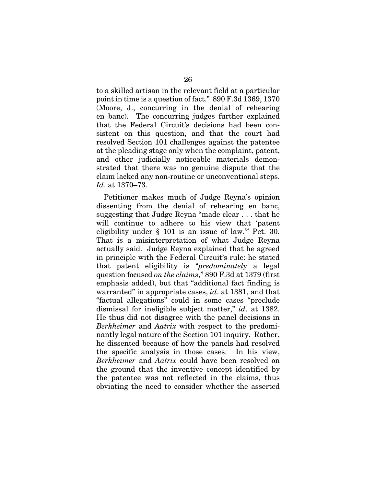to a skilled artisan in the relevant field at a particular point in time is a question of fact." 890 F.3d 1369, 1370 (Moore, J., concurring in the denial of rehearing en banc). The concurring judges further explained that the Federal Circuit's decisions had been consistent on this question, and that the court had resolved Section 101 challenges against the patentee at the pleading stage only when the complaint, patent, and other judicially noticeable materials demonstrated that there was no genuine dispute that the claim lacked any non-routine or unconventional steps. *Id*. at 1370–73.

Petitioner makes much of Judge Reyna's opinion dissenting from the denial of rehearing en banc, suggesting that Judge Reyna "made clear . . . that he will continue to adhere to his view that 'patent eligibility under § 101 is an issue of law.'" Pet. 30. That is a misinterpretation of what Judge Reyna actually said. Judge Reyna explained that he agreed in principle with the Federal Circuit's rule: he stated that patent eligibility is "*predominately* a legal question focused *on the claims*," 890 F.3d at 1379 (first emphasis added), but that "additional fact finding is warranted" in appropriate cases, *id*. at 1381, and that "factual allegations" could in some cases "preclude dismissal for ineligible subject matter," *id*. at 1382. He thus did not disagree with the panel decisions in *Berkheimer* and *Aatrix* with respect to the predominantly legal nature of the Section 101 inquiry. Rather, he dissented because of how the panels had resolved the specific analysis in those cases. In his view, *Berkheimer* and *Aatrix* could have been resolved on the ground that the inventive concept identified by the patentee was not reflected in the claims, thus obviating the need to consider whether the asserted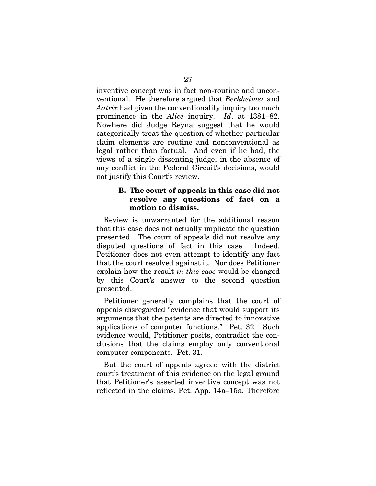inventive concept was in fact non-routine and unconventional. He therefore argued that *Berkheimer* and *Aatrix* had given the conventionality inquiry too much prominence in the *Alice* inquiry. *Id*. at 1381–82. Nowhere did Judge Reyna suggest that he would categorically treat the question of whether particular claim elements are routine and nonconventional as legal rather than factual. And even if he had, the views of a single dissenting judge, in the absence of any conflict in the Federal Circuit's decisions, would not justify this Court's review.

#### B. The court of appeals in this case did not resolve any questions of fact on a motion to dismiss.

Review is unwarranted for the additional reason that this case does not actually implicate the question presented. The court of appeals did not resolve any disputed questions of fact in this case. Indeed, Petitioner does not even attempt to identify any fact that the court resolved against it. Nor does Petitioner explain how the result *in this case* would be changed by this Court's answer to the second question presented.

Petitioner generally complains that the court of appeals disregarded "evidence that would support its arguments that the patents are directed to innovative applications of computer functions." Pet. 32. Such evidence would, Petitioner posits, contradict the conclusions that the claims employ only conventional computer components. Pet. 31.

But the court of appeals agreed with the district court's treatment of this evidence on the legal ground that Petitioner's asserted inventive concept was not reflected in the claims. Pet. App. 14a–15a. Therefore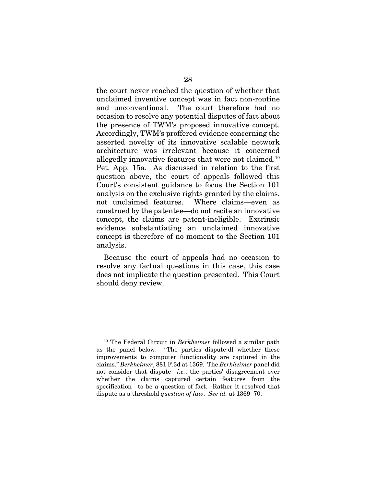the court never reached the question of whether that unclaimed inventive concept was in fact non-routine and unconventional. The court therefore had no occasion to resolve any potential disputes of fact about the presence of TWM's proposed innovative concept. Accordingly, TWM's proffered evidence concerning the asserted novelty of its innovative scalable network architecture was irrelevant because it concerned allegedly innovative features that were not claimed.10 Pet. App. 15a. As discussed in relation to the first question above, the court of appeals followed this Court's consistent guidance to focus the Section 101 analysis on the exclusive rights granted by the claims, not unclaimed features. Where claims—even as construed by the patentee—do not recite an innovative concept, the claims are patent-ineligible. Extrinsic evidence substantiating an unclaimed innovative concept is therefore of no moment to the Section 101 analysis.

Because the court of appeals had no occasion to resolve any factual questions in this case, this case does not implicate the question presented. This Court should deny review.

<sup>10</sup> The Federal Circuit in *Berkheimer* followed a similar path as the panel below. "The parties dispute[d] whether these improvements to computer functionality are captured in the claims." *Berkheimer*, 881 F.3d at 1369. The *Berkheimer* panel did not consider that dispute—*i.e.*, the parties' disagreement over whether the claims captured certain features from the specification—to be a question of fact. Rather it resolved that dispute as a threshold *question of law*. *See id.* at 1369–70.